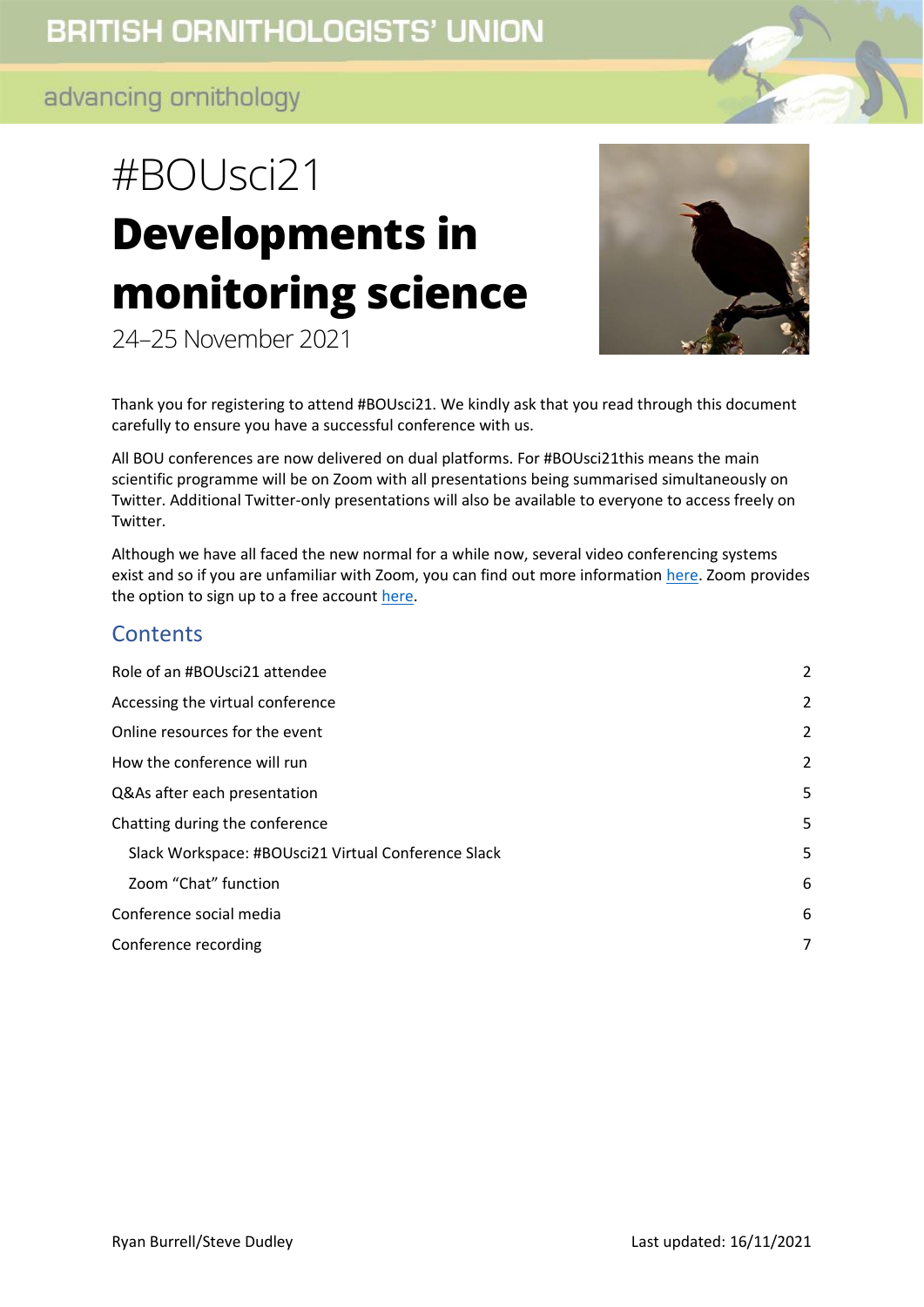# #BOUsci21 **Developments in monitoring science**





Thank you for registering to attend #BOUsci21. We kindly ask that you read through this document carefully to ensure you have a successful conference with us.

All BOU conferences are now delivered on dual platforms. For #BOUsci21this means the main scientific programme will be on Zoom with all presentations being summarised simultaneously on Twitter. Additional Twitter-only presentations will also be available to everyone to access freely on Twitter.

Although we have all faced the new normal for a while now, several video conferencing systems exist and so if you are unfamiliar with Zoom, you can find out more information [here.](https://support.zoom.us/hc/en-us/categories/200101697-Getting-Started) Zoom provides the option to sign up to a free account [here.](https://zoom.us/pricing)

## **Contents**

<span id="page-0-0"></span>

| Role of an #BOUsci21 attendee                       | 2              |
|-----------------------------------------------------|----------------|
| Accessing the virtual conference                    | $\overline{2}$ |
| Online resources for the event                      | $\overline{2}$ |
| How the conference will run                         | $\overline{2}$ |
| Q&As after each presentation                        | 5              |
| Chatting during the conference                      | 5              |
| Slack Workspace: #BOUsci21 Virtual Conference Slack | 5              |
| Zoom "Chat" function                                | 6              |
| Conference social media                             | 6              |
| Conference recording                                | 7              |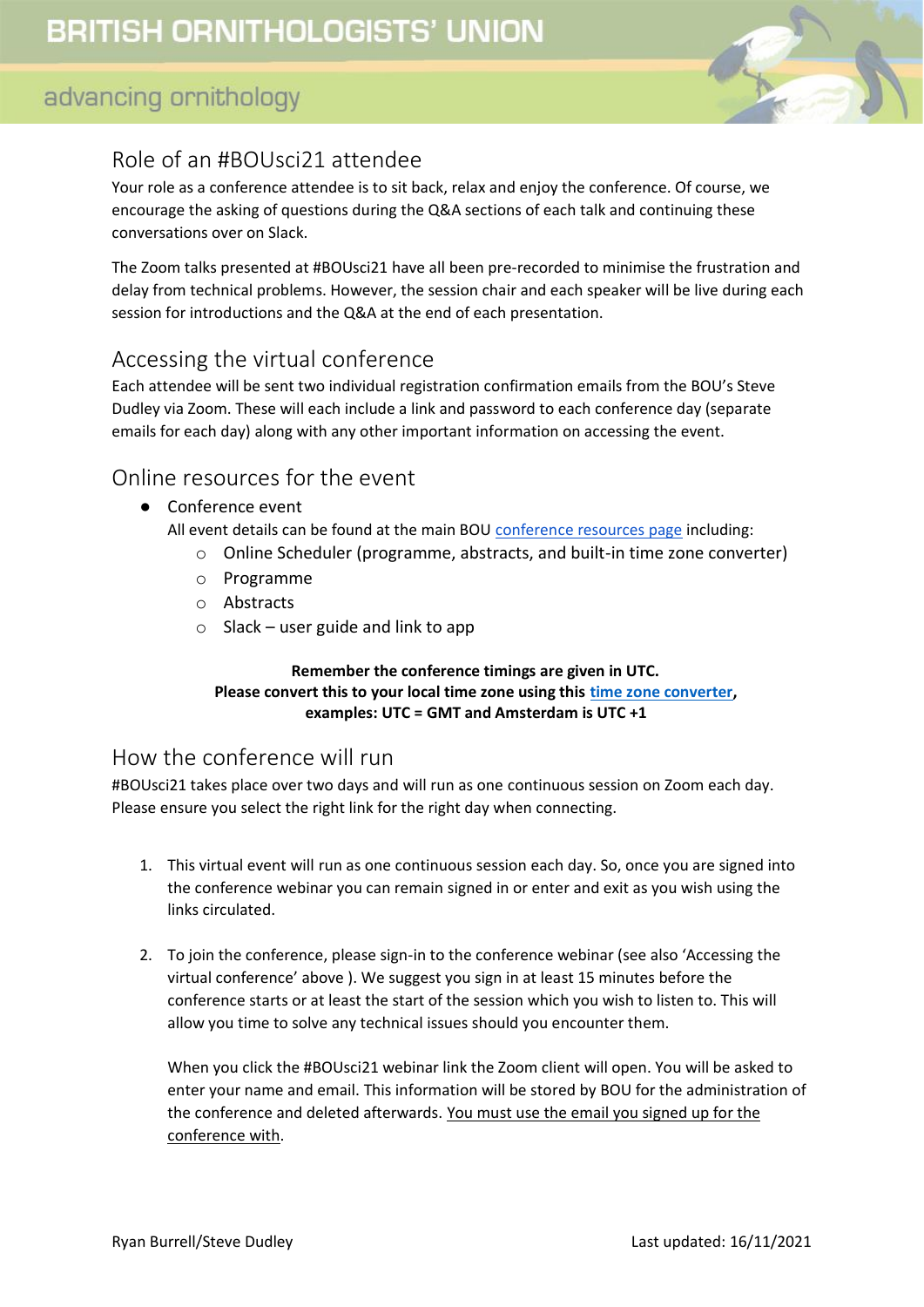

## Role of an #BOUsci21 attendee

Your role as a conference attendee is to sit back, relax and enjoy the conference. Of course, we encourage the asking of questions during the Q&A sections of each talk and continuing these conversations over on Slack.

The Zoom talks presented at #BOUsci21 have all been pre-recorded to minimise the frustration and delay from technical problems. However, the session chair and each speaker will be live during each session for introductions and the Q&A at the end of each presentation.

## <span id="page-1-0"></span>Accessing the virtual conference

Each attendee will be sent two individual registration confirmation emails from the BOU's Steve Dudley via Zoom. These will each include a link and password to each conference day (separate emails for each day) along with any other important information on accessing the event.

#### <span id="page-1-1"></span>Online resources for the event

● Conference event

All event details can be found at the main BOU [conference resources page](https://bou.org.uk/conferences-and-meetings/bousci21-resources/) including:

- o Online Scheduler (programme, abstracts, and built-in time zone converter)
- o Programme
- o Abstracts
- $\circ$  Slack user guide and link to app

#### **Remember the conference timings are given in UTC. Please convert this to your local time zone using this [time zone converter,](https://www.timeanddate.com/worldclock/converter.html) examples: UTC = GMT and Amsterdam is UTC +1**

#### <span id="page-1-2"></span>How the conference will run

#BOUsci21 takes place over two days and will run as one continuous session on Zoom each day. Please ensure you select the right link for the right day when connecting.

- 1. This virtual event will run as one continuous session each day. So, once you are signed into the conference webinar you can remain signed in or enter and exit as you wish using the links circulated.
- 2. To join the conference, please sign-in to the conference webinar (see also 'Accessing the virtual conference' above ). We suggest you sign in at least 15 minutes before the conference starts or at least the start of the session which you wish to listen to. This will allow you time to solve any technical issues should you encounter them.

When you click the #BOUsci21 webinar link the Zoom client will open. You will be asked to enter your name and email. This information will be stored by BOU for the administration of the conference and deleted afterwards. You must use the email you signed up for the conference with.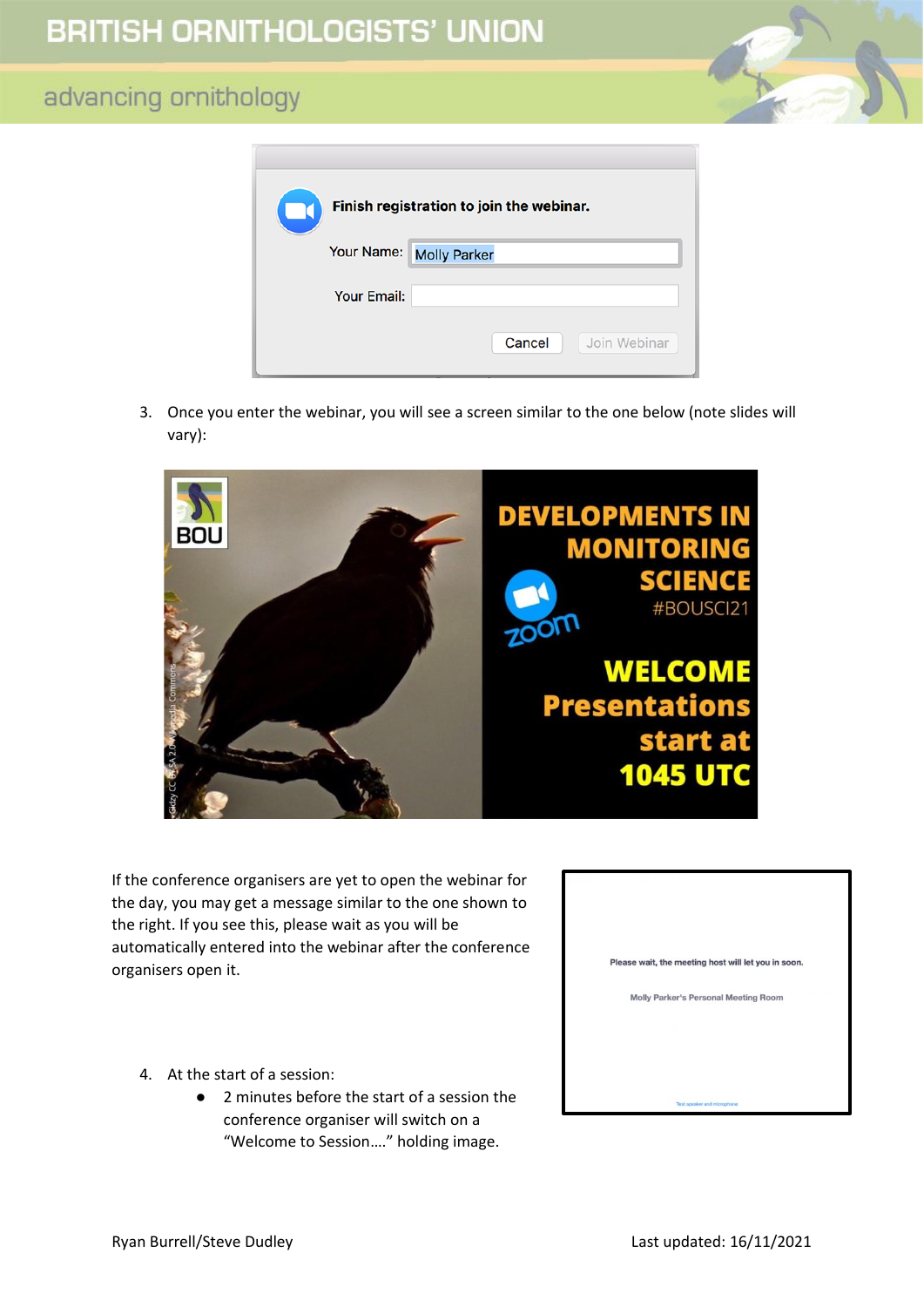| Finish registration to join the webinar. |                         |  |  |  |  |  |  |
|------------------------------------------|-------------------------|--|--|--|--|--|--|
|                                          | Your Name: Molly Parker |  |  |  |  |  |  |
| <b>Your Email:</b>                       |                         |  |  |  |  |  |  |
|                                          | Join Webinar<br>Cancel  |  |  |  |  |  |  |

3. Once you enter the webinar, you will see a screen similar to the one below (note slides will vary):



If the conference organisers are yet to open the webinar for the day, you may get a message similar to the one shown to the right. If you see this, please wait as you will be automatically entered into the webinar after the conference organisers open it.

- 4. At the start of a session:
	- 2 minutes before the start of a session the conference organiser will switch on a "Welcome to Session…." holding image.

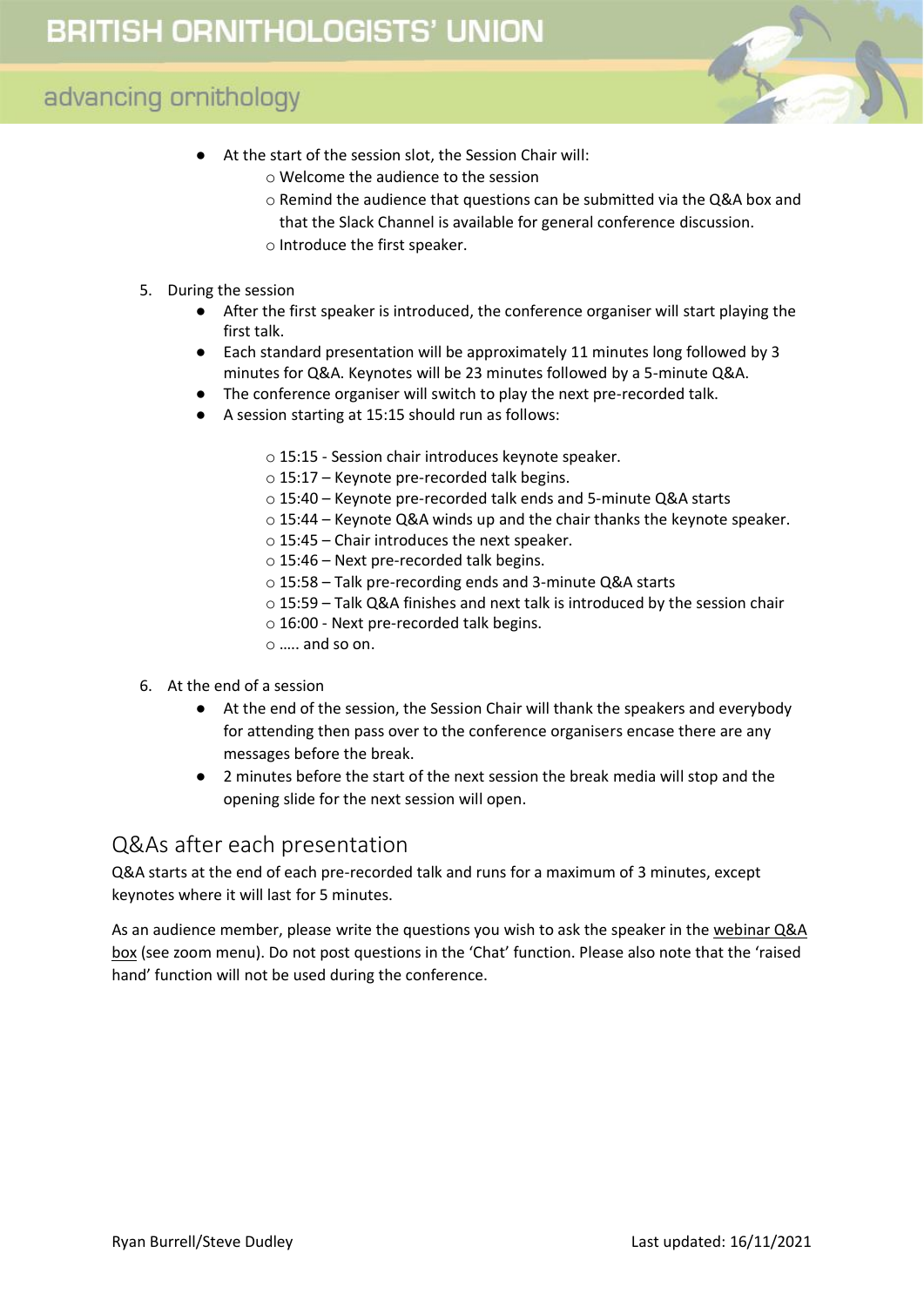

- At the start of the session slot, the Session Chair will:
	- o Welcome the audience to the session
	- o Remind the audience that questions can be submitted via the Q&A box and
	- that the Slack Channel is available for general conference discussion.
	- o Introduce the first speaker.
- 5. During the session
	- After the first speaker is introduced, the conference organiser will start playing the first talk.
	- Each standard presentation will be approximately 11 minutes long followed by 3 minutes for Q&A. Keynotes will be 23 minutes followed by a 5-minute Q&A.
	- The conference organiser will switch to play the next pre-recorded talk.
	- A session starting at 15:15 should run as follows:
		- o 15:15 Session chair introduces keynote speaker.
		- o 15:17 Keynote pre-recorded talk begins.
		- o 15:4️0 Keynote pre-recorded talk ends and 5-minute Q&A starts
		- o 15:44 Keynote Q&A winds up and the chair thanks the keynote speaker.
		- $\circ$  15:45 Chair introduces the next speaker.
		- $\circ$  15:46 Next pre-recorded talk begins.
		- o 15:58 Talk pre-recording ends and 3-minute Q&A starts
		- o 15:59 Talk Q&A finishes and next talk is introduced by the session chair
		- o 16:00 Next pre-recorded talk begins.
		- o ….. and so on.
- 6. At the end of a session
	- At the end of the session, the Session Chair will thank the speakers and everybody for attending then pass over to the conference organisers encase there are any messages before the break.
	- 2 minutes before the start of the next session the break media will stop and the opening slide for the next session will open.

## <span id="page-3-0"></span>Q&As after each presentation

Q&A starts at the end of each pre-recorded talk and runs for a maximum of 3 minutes, except keynotes where it will last for 5 minutes.

As an audience member, please write the questions you wish to ask the speaker in the webinar Q&A box (see zoom menu). Do not post questions in the 'Chat' function. Please also note that the 'raised hand' function will not be used during the conference.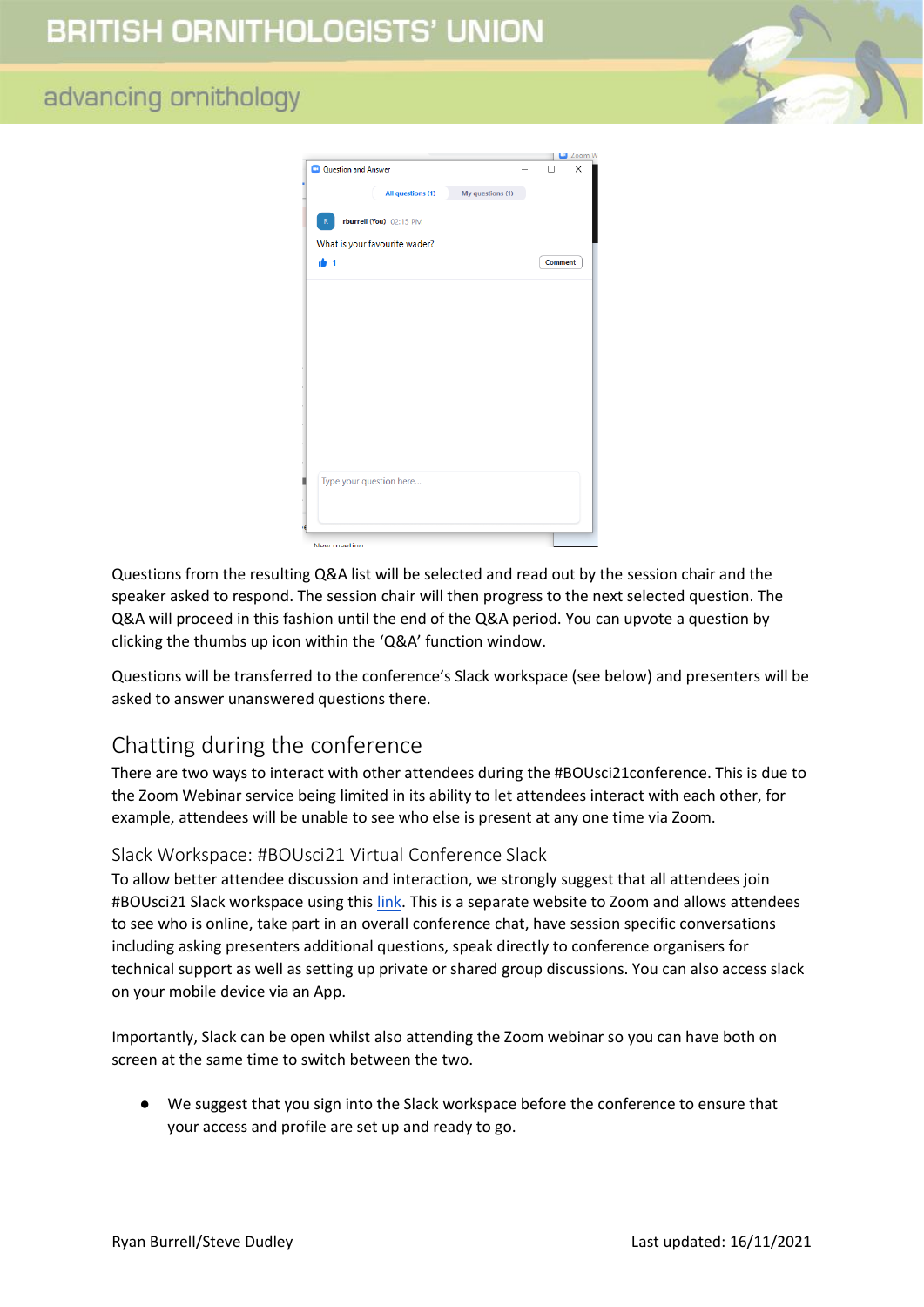| Question and Answer           |                         |                  | П       | × |
|-------------------------------|-------------------------|------------------|---------|---|
|                               | All questions (1)       | My questions (1) |         |   |
| R                             | rburrell (You) 02:15 PM |                  |         |   |
| What is your favourite wader? |                         |                  |         |   |
| de 1                          |                         |                  | Comment |   |
|                               |                         |                  |         |   |
|                               |                         |                  |         |   |
|                               |                         |                  |         |   |
|                               |                         |                  |         |   |
|                               |                         |                  |         |   |
|                               |                         |                  |         |   |
|                               |                         |                  |         |   |
|                               |                         |                  |         |   |
|                               |                         |                  |         |   |
|                               |                         |                  |         |   |
| Type your question here       |                         |                  |         |   |
|                               |                         |                  |         |   |
|                               |                         |                  |         |   |

Questions from the resulting Q&A list will be selected and read out by the session chair and the speaker asked to respond. The session chair will then progress to the next selected question. The Q&A will proceed in this fashion until the end of the Q&A period. You can upvote a question by clicking the thumbs up icon within the 'Q&A' function window.

Questions will be transferred to the conference's Slack workspace (see below) and presenters will be asked to answer unanswered questions there.

# <span id="page-4-0"></span>Chatting during the conference

There are two ways to interact with other attendees during the #BOUsci21conference. This is due to the Zoom Webinar service being limited in its ability to let attendees interact with each other, for example, attendees will be unable to see who else is present at any one time via Zoom.

#### <span id="page-4-1"></span>Slack Workspace: #BOUsci21 Virtual Conference Slack

To allow better attendee discussion and interaction, we strongly suggest that all attendees join #BOUsci21 Slack workspace using this [link.](https://bit.ly/Join-BOUsci21-Slack) This is a separate website to Zoom and allows attendees to see who is online, take part in an overall conference chat, have session specific conversations including asking presenters additional questions, speak directly to conference organisers for technical support as well as setting up private or shared group discussions. You can also access slack on your mobile device via an App.

Importantly, Slack can be open whilst also attending the Zoom webinar so you can have both on screen at the same time to switch between the two.

● We suggest that you sign into the Slack workspace before the conference to ensure that your access and profile are set up and ready to go.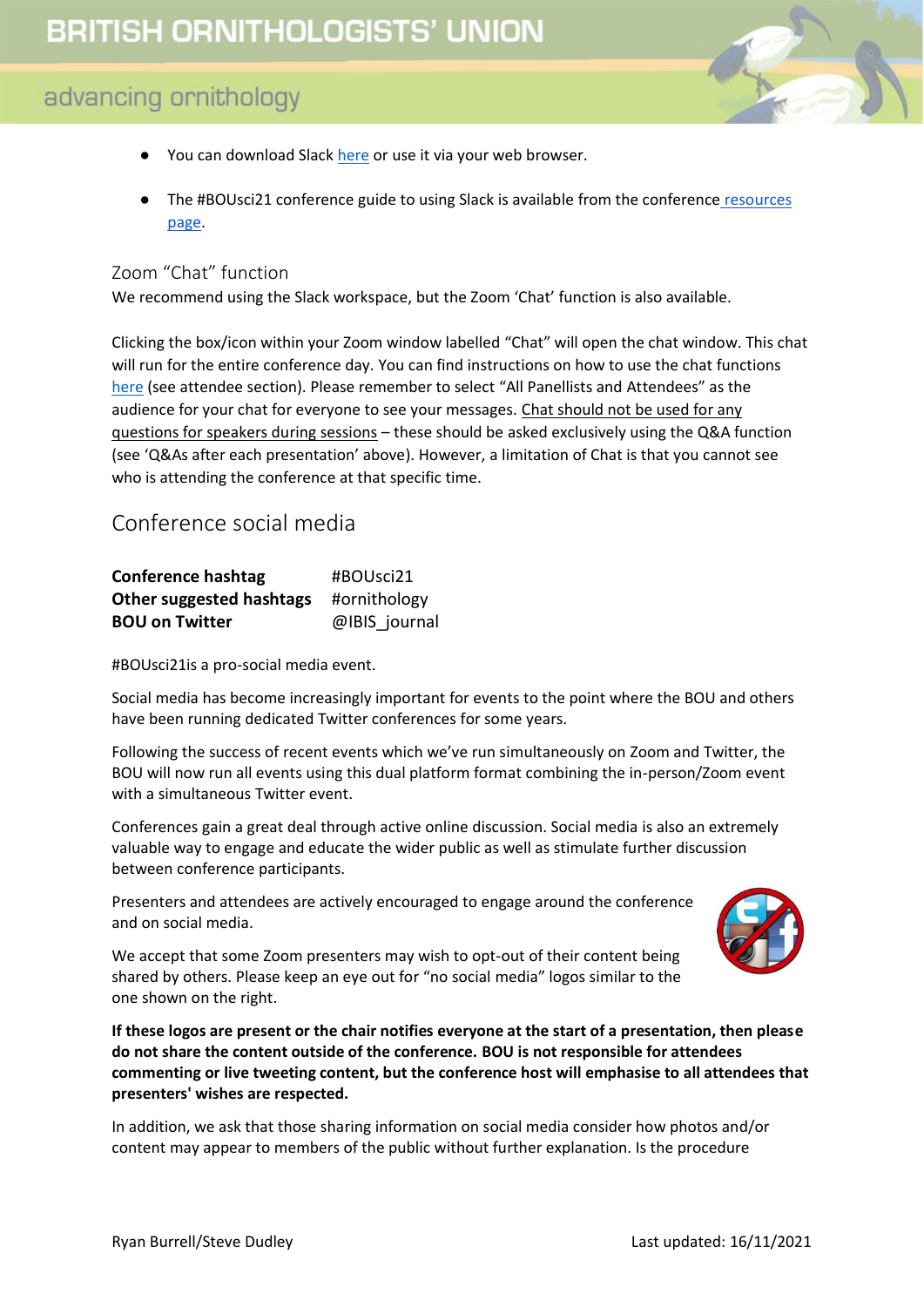- 
- You can download Slac[k here](https://slack.com/intl/en-gb/help/categories/360000049043) or use it via your web browser.
- The #BOUsci21 conference guide to using Slack is available from the conference resources [page.](https://bou.org.uk/conferences-and-meetings/bousci21-resources/)

#### <span id="page-5-0"></span>Zoom "Chat" function

We recommend using the Slack workspace, but the Zoom 'Chat' function is also available.

Clicking the box/icon within your Zoom window labelled "Chat" will open the chat window. This chat will run for the entire conference day. You can find instructions on how to use the chat functions [here](https://support.zoom.us/hc/en-us/articles/205761999-Using-webinar-chat) (see attendee section). Please remember to select "All Panellists and Attendees" as the audience for your chat for everyone to see your messages. Chat should not be used for any questions for speakers during sessions – these should be asked exclusively using the Q&A function (see 'Q&As after each presentation' above). However, a limitation of Chat is that you cannot see who is attending the conference at that specific time.

# <span id="page-5-1"></span>Conference social media

| <b>Conference hashtag</b> | #BOUsci21     |
|---------------------------|---------------|
| Other suggested hashtags  | #ornithology  |
| <b>BOU on Twitter</b>     | @IBIS journal |

#BOUsci21is a pro-social media event.

Social media has become increasingly important for events to the point where the BOU and others have been running dedicated Twitter conferences for some years.

Following the success of recent events which we've run simultaneously on Zoom and Twitter, the BOU will now run all events using this dual platform format combining the in-person/Zoom event with a simultaneous Twitter event.

Conferences gain a great deal through active online discussion. Social media is also an extremely valuable way to engage and educate the wider public as well as stimulate further discussion between conference participants.

Presenters and attendees are actively encouraged to engage around the conference and on social media.



We accept that some Zoom presenters may wish to opt-out of their content being shared by others. Please keep an eye out for "no social media" logos similar to the one shown on the right.

**If these logos are present or the chair notifies everyone at the start of a presentation, then please do not share the content outside of the conference. BOU is not responsible for attendees commenting or live tweeting content, but the conference host will emphasise to all attendees that presenters' wishes are respected.** 

In addition, we ask that those sharing information on social media consider how photos and/or content may appear to members of the public without further explanation. Is the procedure